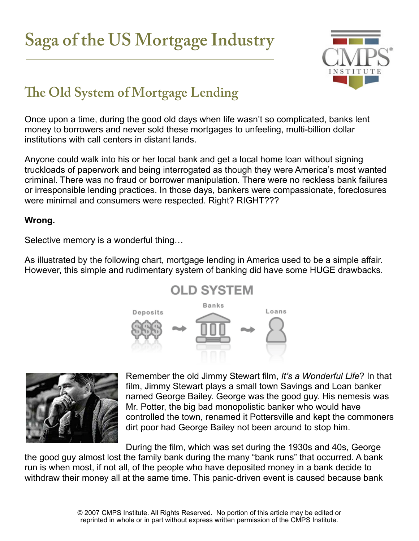# **Saga of the US Mortgage Industry**



## **The Old System of Mortgage Lending**

Once upon a time, during the good old days when life wasn't so complicated, banks lent money to borrowers and never sold these mortgages to unfeeling, multi-billion dollar institutions with call centers in distant lands.

Anyone could walk into his or her local bank and get a local home loan without signing truckloads of paperwork and being interrogated as though they were America's most wanted criminal. There was no fraud or borrower manipulation. There were no reckless bank failures or irresponsible lending practices. In those days, bankers were compassionate, foreclosures were minimal and consumers were respected. Right? RIGHT???

#### **Wrong.**

Selective memory is a wonderful thing…

As illustrated by the following chart, mortgage lending in America used to be a simple affair. However, this simple and rudimentary system of banking did have some HUGE drawbacks.





Remember the old Jimmy Stewart film, *It's a Wonderful Life*? In that film, Jimmy Stewart plays a small town Savings and Loan banker named George Bailey. George was the good guy. His nemesis was Mr. Potter, the big bad monopolistic banker who would have controlled the town, renamed it Pottersville and kept the commoners dirt poor had George Bailey not been around to stop him.

During the film, which was set during the 1930s and 40s, George the good guy almost lost the family bank during the many "bank runs" that occurred. A bank run is when most, if not all, of the people who have deposited money in a bank decide to withdraw their money all at the same time. This panic-driven event is caused because bank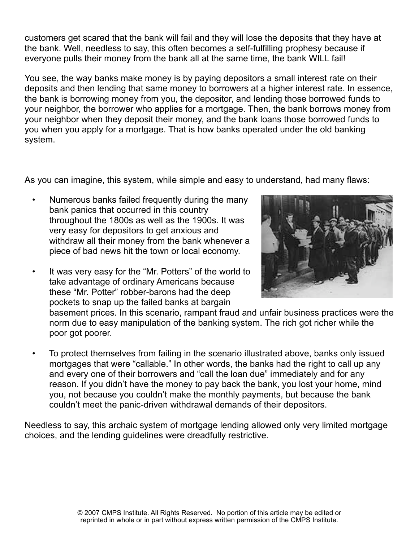customers get scared that the bank will fail and they will lose the deposits that they have at the bank. Well, needless to say, this often becomes a self-fulfilling prophesy because if everyone pulls their money from the bank all at the same time, the bank WILL fail!

You see, the way banks make money is by paying depositors a small interest rate on their deposits and then lending that same money to borrowers at a higher interest rate. In essence, the bank is borrowing money from you, the depositor, and lending those borrowed funds to your neighbor, the borrower who applies for a mortgage. Then, the bank borrows money from your neighbor when they deposit their money, and the bank loans those borrowed funds to you when you apply for a mortgage. That is how banks operated under the old banking system.

As you can imagine, this system, while simple and easy to understand, had many flaws:

- Numerous banks failed frequently during the many bank panics that occurred in this country throughout the 1800s as well as the 1900s. It was very easy for depositors to get anxious and withdraw all their money from the bank whenever a piece of bad news hit the town or local economy.
- It was very easy for the "Mr. Potters" of the world to take advantage of ordinary Americans because these "Mr. Potter" robber-barons had the deep pockets to snap up the failed banks at bargain



basement prices. In this scenario, rampant fraud and unfair business practices were the norm due to easy manipulation of the banking system. The rich got richer while the poor got poorer.

• To protect themselves from failing in the scenario illustrated above, banks only issued mortgages that were "callable." In other words, the banks had the right to call up any and every one of their borrowers and "call the loan due" immediately and for any reason. If you didn't have the money to pay back the bank, you lost your home, mind you, not because you couldn't make the monthly payments, but because the bank couldn't meet the panic-driven withdrawal demands of their depositors.

Needless to say, this archaic system of mortgage lending allowed only very limited mortgage choices, and the lending guidelines were dreadfully restrictive.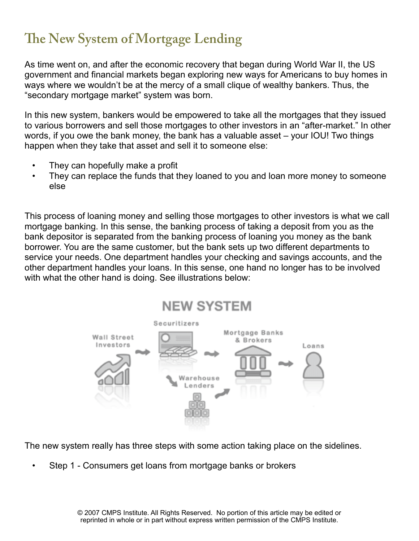### **The New System of Mortgage Lending**

As time went on, and after the economic recovery that began during World War II, the US government and financial markets began exploring new ways for Americans to buy homes in ways where we wouldn't be at the mercy of a small clique of wealthy bankers. Thus, the "secondary mortgage market" system was born.

In this new system, bankers would be empowered to take all the mortgages that they issued to various borrowers and sell those mortgages to other investors in an "after-market." In other words, if you owe the bank money, the bank has a valuable asset – your IOU! Two things happen when they take that asset and sell it to someone else:

- They can hopefully make a profit
- They can replace the funds that they loaned to you and loan more money to someone else

This process of loaning money and selling those mortgages to other investors is what we call mortgage banking. In this sense, the banking process of taking a deposit from you as the bank depositor is separated from the banking process of loaning you money as the bank borrower. You are the same customer, but the bank sets up two different departments to service your needs. One department handles your checking and savings accounts, and the other department handles your loans. In this sense, one hand no longer has to be involved with what the other hand is doing. See illustrations below:



The new system really has three steps with some action taking place on the sidelines.

• Step 1 - Consumers get loans from mortgage banks or brokers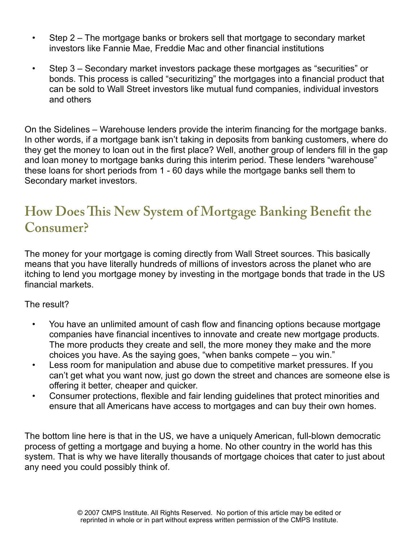- Step 2 The mortgage banks or brokers sell that mortgage to secondary market investors like Fannie Mae, Freddie Mac and other financial institutions
- Step 3 Secondary market investors package these mortgages as "securities" or bonds. This process is called "securitizing" the mortgages into a financial product that can be sold to Wall Street investors like mutual fund companies, individual investors and others

On the Sidelines – Warehouse lenders provide the interim financing for the mortgage banks. In other words, if a mortgage bank isn't taking in deposits from banking customers, where do they get the money to loan out in the first place? Well, another group of lenders fill in the gap and loan money to mortgage banks during this interim period. These lenders "warehouse" these loans for short periods from 1 - 60 days while the mortgage banks sell them to Secondary market investors.

#### How Does This New System of Mortgage Banking Benefit the **Consumer?**

The money for your mortgage is coming directly from Wall Street sources. This basically means that you have literally hundreds of millions of investors across the planet who are itching to lend you mortgage money by investing in the mortgage bonds that trade in the US financial markets.

The result?

- You have an unlimited amount of cash flow and financing options because mortgage companies have financial incentives to innovate and create new mortgage products. The more products they create and sell, the more money they make and the more choices you have. As the saying goes, "when banks compete – you win."
- Less room for manipulation and abuse due to competitive market pressures. If you can't get what you want now, just go down the street and chances are someone else is offering it better, cheaper and quicker.
- Consumer protections, flexible and fair lending guidelines that protect minorities and ensure that all Americans have access to mortgages and can buy their own homes.

The bottom line here is that in the US, we have a uniquely American, full-blown democratic process of getting a mortgage and buying a home. No other country in the world has this system. That is why we have literally thousands of mortgage choices that cater to just about any need you could possibly think of.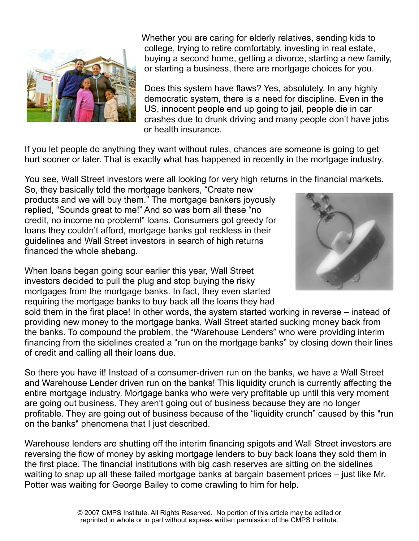

Whether you are caring for elderly relatives, sending kids to college, trying to retire comfortably, investing in real estate, buying a second home, getting a divorce, starting a new family, or starting a business, there are mortgage choices for you.

Does this system have flaws? Yes, absolutely. In any highly democratic system, there is a need for discipline. Even in the US, innocent people end up going to jail, people die in car crashes due to drunk driving and many people don't have jobs or health insurance.

If you let people do anything they want without rules, chances are someone is going to get hurt sooner or later. That is exactly what has happened in recently in the mortgage industry.

You see, Wall Street investors were all looking for very high returns in the financial markets.

So, they basically told the mortgage bankers, "Create new products and we will buy them." The mortgage bankers joyously replied, "Sounds great to me!" And so was born all these "no credit, no income no problem!" loans. Consumers got greedy for loans they couldn't afford, mortgage banks got reckless in their guidelines and Wall Street investors in search of high returns financed the whole shebang.

When loans began going sour earlier this year, Wall Street investors decided to pull the plug and stop buying the risky mortgages from the mortgage banks. In fact, they even started requiring the mortgage banks to buy back all the loans they had



sold them in the first place! In other words, the system started working in reverse – instead of providing new money to the mortgage banks, Wall Street started sucking money back from the banks. To compound the problem, the "Warehouse Lenders" who were providing interim financing from the sidelines created a "run on the mortgage banks" by closing down their lines of credit and calling all their loans due.

So there you have it! Instead of a consumer-driven run on the banks, we have a Wall Street and Warehouse Lender driven run on the banks! This liquidity crunch is currently affecting the entire mortgage industry. Mortgage banks who were very profitable up until this very moment are going out business. They aren't going out of business because they are no longer profitable. They are going out of business because of the "liquidity crunch" caused by this "run on the banks" phenomena that I just described.

Warehouse lenders are shutting off the interim financing spigots and Wall Street investors are reversing the flow of money by asking mortgage lenders to buy back loans they sold them in the first place. The financial institutions with big cash reserves are sitting on the sidelines waiting to snap up all these failed mortgage banks at bargain basement prices – just like Mr. Potter was waiting for George Bailey to come crawling to him for help.